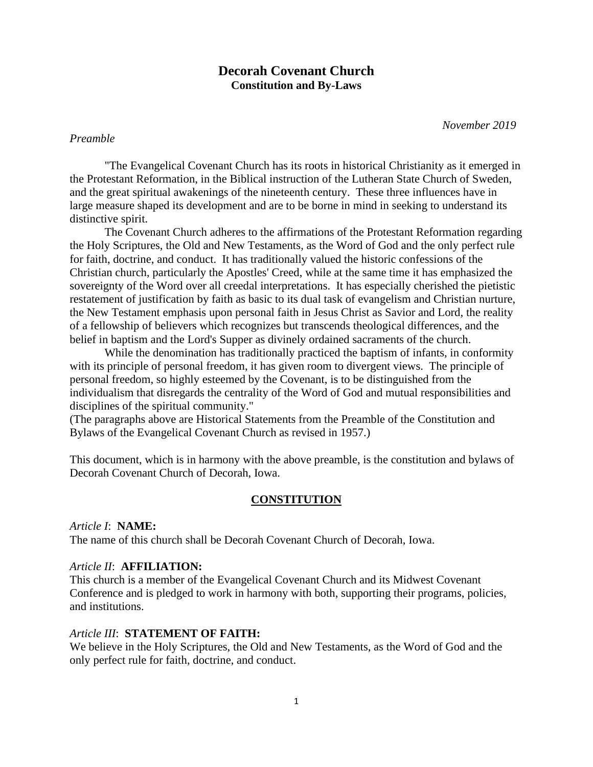# **Decorah Covenant Church Constitution and By-Laws**

 *November 2019*

### *Preamble*

"The Evangelical Covenant Church has its roots in historical Christianity as it emerged in the Protestant Reformation, in the Biblical instruction of the Lutheran State Church of Sweden, and the great spiritual awakenings of the nineteenth century. These three influences have in large measure shaped its development and are to be borne in mind in seeking to understand its distinctive spirit.

The Covenant Church adheres to the affirmations of the Protestant Reformation regarding the Holy Scriptures, the Old and New Testaments, as the Word of God and the only perfect rule for faith, doctrine, and conduct. It has traditionally valued the historic confessions of the Christian church, particularly the Apostles' Creed, while at the same time it has emphasized the sovereignty of the Word over all creedal interpretations. It has especially cherished the pietistic restatement of justification by faith as basic to its dual task of evangelism and Christian nurture, the New Testament emphasis upon personal faith in Jesus Christ as Savior and Lord, the reality of a fellowship of believers which recognizes but transcends theological differences, and the belief in baptism and the Lord's Supper as divinely ordained sacraments of the church.

While the denomination has traditionally practiced the baptism of infants, in conformity with its principle of personal freedom, it has given room to divergent views. The principle of personal freedom, so highly esteemed by the Covenant, is to be distinguished from the individualism that disregards the centrality of the Word of God and mutual responsibilities and disciplines of the spiritual community."

(The paragraphs above are Historical Statements from the Preamble of the Constitution and Bylaws of the Evangelical Covenant Church as revised in 1957.)

This document, which is in harmony with the above preamble, is the constitution and bylaws of Decorah Covenant Church of Decorah, Iowa.

#### **CONSTITUTION**

*Article I*: **NAME:** The name of this church shall be Decorah Covenant Church of Decorah, Iowa.

#### *Article II*: **AFFILIATION:**

This church is a member of the Evangelical Covenant Church and its Midwest Covenant Conference and is pledged to work in harmony with both, supporting their programs, policies, and institutions.

#### *Article III*: **STATEMENT OF FAITH:**

We believe in the Holy Scriptures, the Old and New Testaments, as the Word of God and the only perfect rule for faith, doctrine, and conduct.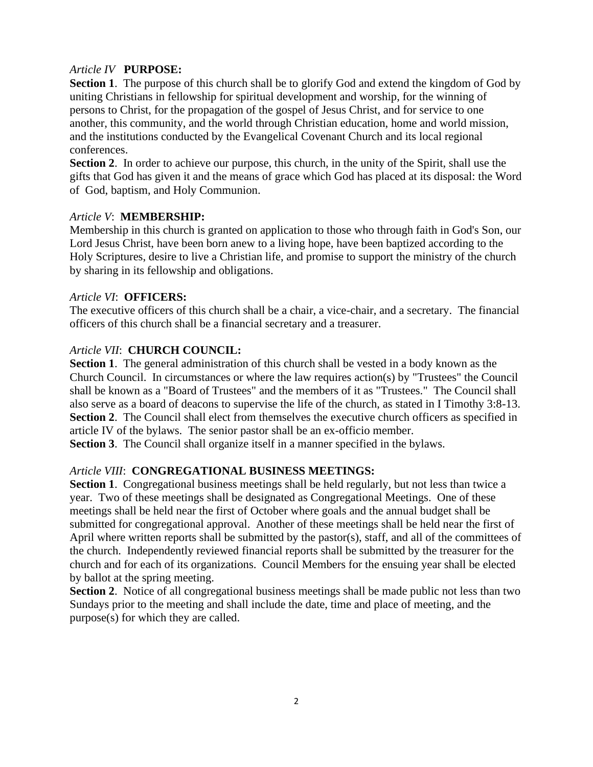## *Article IV* **PURPOSE:**

**Section 1**. The purpose of this church shall be to glorify God and extend the kingdom of God by uniting Christians in fellowship for spiritual development and worship, for the winning of persons to Christ, for the propagation of the gospel of Jesus Christ, and for service to one another, this community, and the world through Christian education, home and world mission, and the institutions conducted by the Evangelical Covenant Church and its local regional conferences.

**Section 2**. In order to achieve our purpose, this church, in the unity of the Spirit, shall use the gifts that God has given it and the means of grace which God has placed at its disposal: the Word of God, baptism, and Holy Communion.

## *Article V*: **MEMBERSHIP:**

Membership in this church is granted on application to those who through faith in God's Son, our Lord Jesus Christ, have been born anew to a living hope, have been baptized according to the Holy Scriptures, desire to live a Christian life, and promise to support the ministry of the church by sharing in its fellowship and obligations.

## *Article VI*: **OFFICERS:**

The executive officers of this church shall be a chair, a vice-chair, and a secretary. The financial officers of this church shall be a financial secretary and a treasurer.

## *Article VII*: **CHURCH COUNCIL:**

**Section 1**. The general administration of this church shall be vested in a body known as the Church Council. In circumstances or where the law requires action(s) by "Trustees" the Council shall be known as a "Board of Trustees" and the members of it as "Trustees." The Council shall also serve as a board of deacons to supervise the life of the church, as stated in I Timothy 3:8-13. **Section 2.** The Council shall elect from themselves the executive church officers as specified in article IV of the bylaws. The senior pastor shall be an ex-officio member.

**Section 3**. The Council shall organize itself in a manner specified in the bylaws.

# *Article VIII*: **CONGREGATIONAL BUSINESS MEETINGS:**

**Section 1**. Congregational business meetings shall be held regularly, but not less than twice a year. Two of these meetings shall be designated as Congregational Meetings. One of these meetings shall be held near the first of October where goals and the annual budget shall be submitted for congregational approval. Another of these meetings shall be held near the first of April where written reports shall be submitted by the pastor(s), staff, and all of the committees of the church. Independently reviewed financial reports shall be submitted by the treasurer for the church and for each of its organizations. Council Members for the ensuing year shall be elected by ballot at the spring meeting.

**Section 2**. Notice of all congregational business meetings shall be made public not less than two Sundays prior to the meeting and shall include the date, time and place of meeting, and the purpose(s) for which they are called.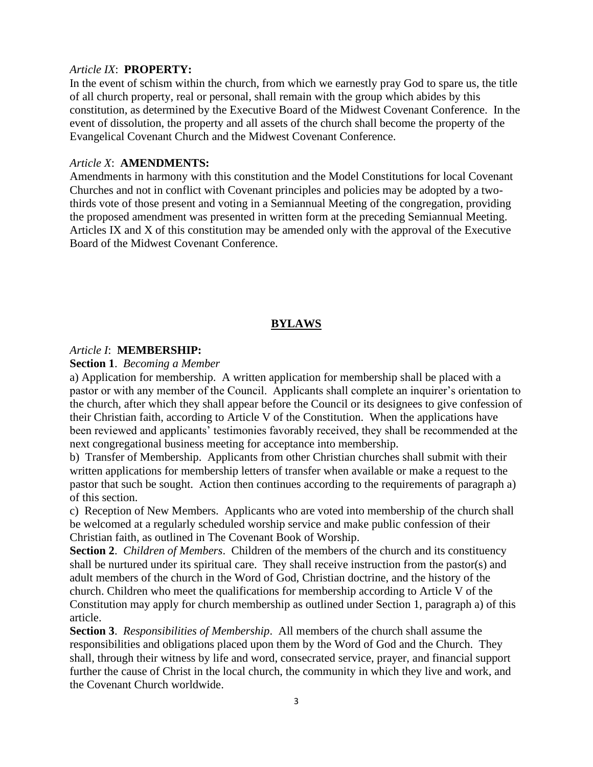#### *Article IX*: **PROPERTY:**

In the event of schism within the church, from which we earnestly pray God to spare us, the title of all church property, real or personal, shall remain with the group which abides by this constitution, as determined by the Executive Board of the Midwest Covenant Conference. In the event of dissolution, the property and all assets of the church shall become the property of the Evangelical Covenant Church and the Midwest Covenant Conference.

#### *Article X*: **AMENDMENTS:**

Amendments in harmony with this constitution and the Model Constitutions for local Covenant Churches and not in conflict with Covenant principles and policies may be adopted by a twothirds vote of those present and voting in a Semiannual Meeting of the congregation, providing the proposed amendment was presented in written form at the preceding Semiannual Meeting. Articles IX and X of this constitution may be amended only with the approval of the Executive Board of the Midwest Covenant Conference.

### **BYLAWS**

#### *Article I*: **MEMBERSHIP:**

#### **Section 1**. *Becoming a Member*

a) Application for membership. A written application for membership shall be placed with a pastor or with any member of the Council. Applicants shall complete an inquirer's orientation to the church, after which they shall appear before the Council or its designees to give confession of their Christian faith, according to Article V of the Constitution. When the applications have been reviewed and applicants' testimonies favorably received, they shall be recommended at the next congregational business meeting for acceptance into membership.

b) Transfer of Membership. Applicants from other Christian churches shall submit with their written applications for membership letters of transfer when available or make a request to the pastor that such be sought. Action then continues according to the requirements of paragraph a) of this section.

c) Reception of New Members. Applicants who are voted into membership of the church shall be welcomed at a regularly scheduled worship service and make public confession of their Christian faith, as outlined in The Covenant Book of Worship.

**Section 2**. *Children of Members*. Children of the members of the church and its constituency shall be nurtured under its spiritual care. They shall receive instruction from the pastor(s) and adult members of the church in the Word of God, Christian doctrine, and the history of the church. Children who meet the qualifications for membership according to Article V of the Constitution may apply for church membership as outlined under Section 1, paragraph a) of this article.

**Section 3**. *Responsibilities of Membership*. All members of the church shall assume the responsibilities and obligations placed upon them by the Word of God and the Church. They shall, through their witness by life and word, consecrated service, prayer, and financial support further the cause of Christ in the local church, the community in which they live and work, and the Covenant Church worldwide.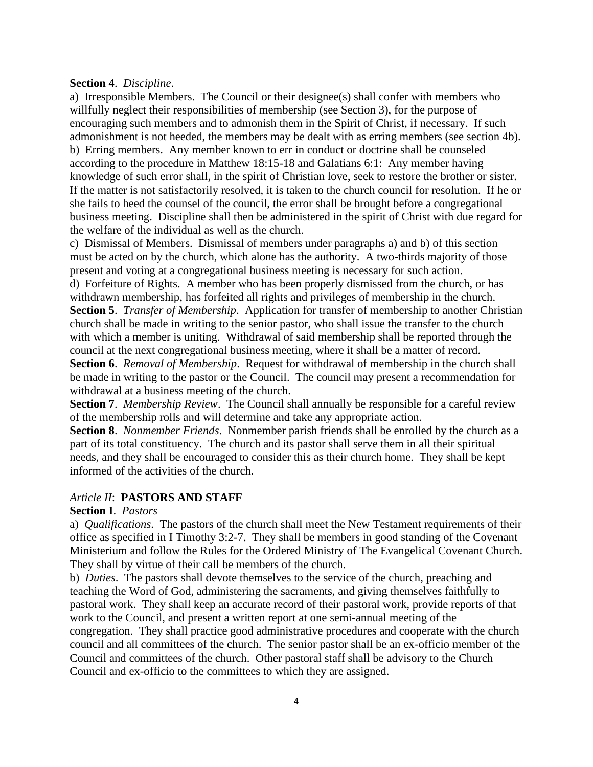#### **Section 4**. *Discipline*.

a) Irresponsible Members. The Council or their designee(s) shall confer with members who willfully neglect their responsibilities of membership (see Section 3), for the purpose of encouraging such members and to admonish them in the Spirit of Christ, if necessary. If such admonishment is not heeded, the members may be dealt with as erring members (see section 4b). b) Erring members. Any member known to err in conduct or doctrine shall be counseled according to the procedure in Matthew 18:15-18 and Galatians 6:1: Any member having knowledge of such error shall, in the spirit of Christian love, seek to restore the brother or sister. If the matter is not satisfactorily resolved, it is taken to the church council for resolution. If he or she fails to heed the counsel of the council, the error shall be brought before a congregational business meeting. Discipline shall then be administered in the spirit of Christ with due regard for the welfare of the individual as well as the church.

c) Dismissal of Members. Dismissal of members under paragraphs a) and b) of this section must be acted on by the church, which alone has the authority. A two-thirds majority of those present and voting at a congregational business meeting is necessary for such action.

d) Forfeiture of Rights. A member who has been properly dismissed from the church, or has withdrawn membership, has forfeited all rights and privileges of membership in the church. **Section 5**. *Transfer of Membership*. Application for transfer of membership to another Christian church shall be made in writing to the senior pastor, who shall issue the transfer to the church with which a member is uniting. Withdrawal of said membership shall be reported through the

council at the next congregational business meeting, where it shall be a matter of record. **Section 6**. *Removal of Membership*. Request for withdrawal of membership in the church shall be made in writing to the pastor or the Council. The council may present a recommendation for withdrawal at a business meeting of the church.

**Section 7**. *Membership Review*. The Council shall annually be responsible for a careful review of the membership rolls and will determine and take any appropriate action.

**Section 8**. *Nonmember Friends*. Nonmember parish friends shall be enrolled by the church as a part of its total constituency. The church and its pastor shall serve them in all their spiritual needs, and they shall be encouraged to consider this as their church home. They shall be kept informed of the activities of the church.

#### *Article II*: **PASTORS AND STAFF**

### **Section I**. *Pastors*

a) *Qualifications*. The pastors of the church shall meet the New Testament requirements of their office as specified in I Timothy 3:2-7. They shall be members in good standing of the Covenant Ministerium and follow the Rules for the Ordered Ministry of The Evangelical Covenant Church. They shall by virtue of their call be members of the church.

b) *Duties*. The pastors shall devote themselves to the service of the church, preaching and teaching the Word of God, administering the sacraments, and giving themselves faithfully to pastoral work. They shall keep an accurate record of their pastoral work, provide reports of that work to the Council, and present a written report at one semi-annual meeting of the congregation. They shall practice good administrative procedures and cooperate with the church council and all committees of the church. The senior pastor shall be an ex-officio member of the Council and committees of the church. Other pastoral staff shall be advisory to the Church Council and ex-officio to the committees to which they are assigned.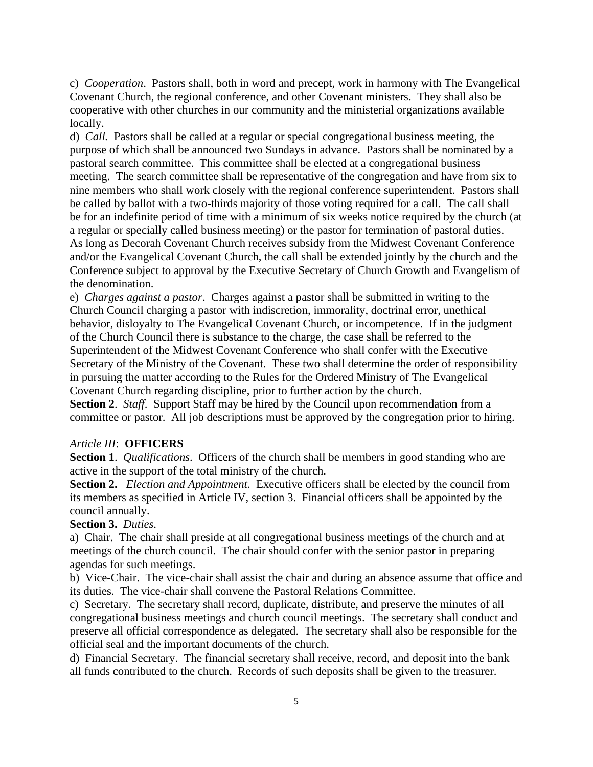c) *Cooperation*. Pastors shall, both in word and precept, work in harmony with The Evangelical Covenant Church, the regional conference, and other Covenant ministers. They shall also be cooperative with other churches in our community and the ministerial organizations available locally.

d) *Call.* Pastors shall be called at a regular or special congregational business meeting, the purpose of which shall be announced two Sundays in advance. Pastors shall be nominated by a pastoral search committee. This committee shall be elected at a congregational business meeting. The search committee shall be representative of the congregation and have from six to nine members who shall work closely with the regional conference superintendent. Pastors shall be called by ballot with a two-thirds majority of those voting required for a call. The call shall be for an indefinite period of time with a minimum of six weeks notice required by the church (at a regular or specially called business meeting) or the pastor for termination of pastoral duties. As long as Decorah Covenant Church receives subsidy from the Midwest Covenant Conference and/or the Evangelical Covenant Church, the call shall be extended jointly by the church and the Conference subject to approval by the Executive Secretary of Church Growth and Evangelism of the denomination.

e) *Charges against a pastor*. Charges against a pastor shall be submitted in writing to the Church Council charging a pastor with indiscretion, immorality, doctrinal error, unethical behavior, disloyalty to The Evangelical Covenant Church, or incompetence. If in the judgment of the Church Council there is substance to the charge, the case shall be referred to the Superintendent of the Midwest Covenant Conference who shall confer with the Executive Secretary of the Ministry of the Covenant. These two shall determine the order of responsibility in pursuing the matter according to the Rules for the Ordered Ministry of The Evangelical Covenant Church regarding discipline, prior to further action by the church.

**Section 2**. *Staff*. Support Staff may be hired by the Council upon recommendation from a committee or pastor. All job descriptions must be approved by the congregation prior to hiring.

#### *Article III*: **OFFICERS**

**Section 1**. *Qualifications*. Officers of the church shall be members in good standing who are active in the support of the total ministry of the church.

**Section 2.** *Election and Appointment.* Executive officers shall be elected by the council from its members as specified in Article IV, section 3. Financial officers shall be appointed by the council annually.

## **Section 3.** *Duties*.

a) Chair. The chair shall preside at all congregational business meetings of the church and at meetings of the church council. The chair should confer with the senior pastor in preparing agendas for such meetings.

b) Vice-Chair. The vice-chair shall assist the chair and during an absence assume that office and its duties. The vice-chair shall convene the Pastoral Relations Committee.

c) Secretary. The secretary shall record, duplicate, distribute, and preserve the minutes of all congregational business meetings and church council meetings. The secretary shall conduct and preserve all official correspondence as delegated. The secretary shall also be responsible for the official seal and the important documents of the church.

d) Financial Secretary. The financial secretary shall receive, record, and deposit into the bank all funds contributed to the church. Records of such deposits shall be given to the treasurer.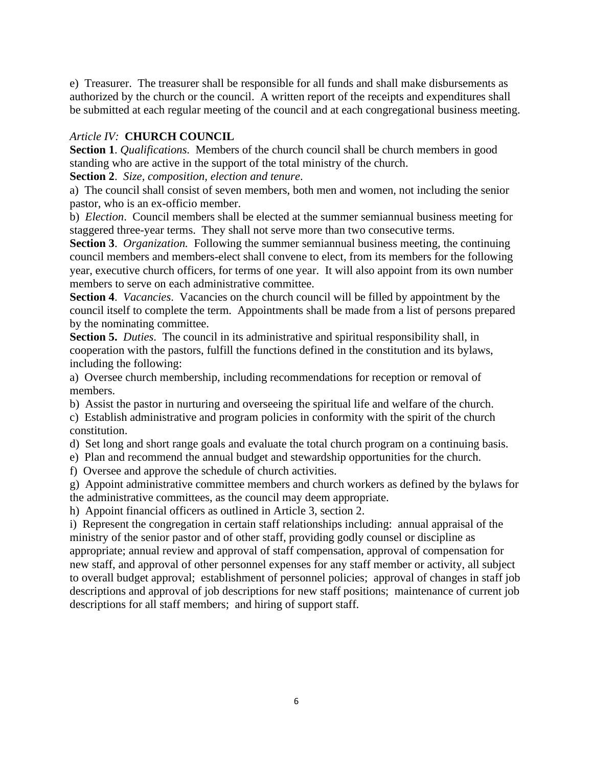e) Treasurer. The treasurer shall be responsible for all funds and shall make disbursements as authorized by the church or the council. A written report of the receipts and expenditures shall be submitted at each regular meeting of the council and at each congregational business meeting.

# *Article IV:* **CHURCH COUNCIL**

**Section 1**. *Qualifications*. Members of the church council shall be church members in good standing who are active in the support of the total ministry of the church.

**Section 2**. *Size, composition, election and tenure*.

a) The council shall consist of seven members, both men and women, not including the senior pastor, who is an ex-officio member.

b) *Election*. Council members shall be elected at the summer semiannual business meeting for staggered three-year terms. They shall not serve more than two consecutive terms.

**Section 3**. *Organization.* Following the summer semiannual business meeting, the continuing council members and members-elect shall convene to elect, from its members for the following year, executive church officers, for terms of one year. It will also appoint from its own number members to serve on each administrative committee.

**Section 4**. *Vacancies*. Vacancies on the church council will be filled by appointment by the council itself to complete the term. Appointments shall be made from a list of persons prepared by the nominating committee.

**Section 5.** *Duties*. The council in its administrative and spiritual responsibility shall, in cooperation with the pastors, fulfill the functions defined in the constitution and its bylaws, including the following:

a) Oversee church membership, including recommendations for reception or removal of members.

b) Assist the pastor in nurturing and overseeing the spiritual life and welfare of the church.

c) Establish administrative and program policies in conformity with the spirit of the church constitution.

d) Set long and short range goals and evaluate the total church program on a continuing basis.

e) Plan and recommend the annual budget and stewardship opportunities for the church.

f) Oversee and approve the schedule of church activities.

g) Appoint administrative committee members and church workers as defined by the bylaws for the administrative committees, as the council may deem appropriate.

h) Appoint financial officers as outlined in Article 3, section 2.

i) Represent the congregation in certain staff relationships including: annual appraisal of the ministry of the senior pastor and of other staff, providing godly counsel or discipline as appropriate; annual review and approval of staff compensation, approval of compensation for new staff, and approval of other personnel expenses for any staff member or activity, all subject to overall budget approval; establishment of personnel policies; approval of changes in staff job descriptions and approval of job descriptions for new staff positions; maintenance of current job descriptions for all staff members; and hiring of support staff.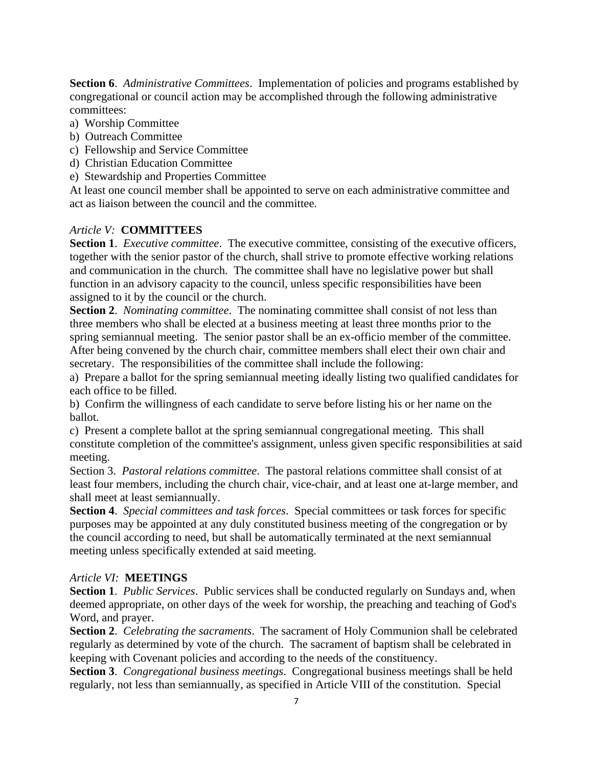**Section 6**. *Administrative Committees*. Implementation of policies and programs established by congregational or council action may be accomplished through the following administrative committees:

- a) Worship Committee
- b) Outreach Committee
- c) Fellowship and Service Committee
- d) Christian Education Committee
- e) Stewardship and Properties Committee

At least one council member shall be appointed to serve on each administrative committee and act as liaison between the council and the committee.

## *Article V:* **COMMITTEES**

**Section 1**. *Executive committee*. The executive committee, consisting of the executive officers, together with the senior pastor of the church, shall strive to promote effective working relations and communication in the church. The committee shall have no legislative power but shall function in an advisory capacity to the council, unless specific responsibilities have been assigned to it by the council or the church.

**Section 2**. *Nominating committee*. The nominating committee shall consist of not less than three members who shall be elected at a business meeting at least three months prior to the spring semiannual meeting. The senior pastor shall be an ex-officio member of the committee. After being convened by the church chair, committee members shall elect their own chair and secretary. The responsibilities of the committee shall include the following:

a) Prepare a ballot for the spring semiannual meeting ideally listing two qualified candidates for each office to be filled.

b) Confirm the willingness of each candidate to serve before listing his or her name on the ballot.

c) Present a complete ballot at the spring semiannual congregational meeting. This shall constitute completion of the committee's assignment, unless given specific responsibilities at said meeting.

Section 3. *Pastoral relations committee*. The pastoral relations committee shall consist of at least four members, including the church chair, vice-chair, and at least one at-large member, and shall meet at least semiannually.

**Section 4**. *Special committees and task forces*. Special committees or task forces for specific purposes may be appointed at any duly constituted business meeting of the congregation or by the council according to need, but shall be automatically terminated at the next semiannual meeting unless specifically extended at said meeting.

# *Article VI:* **MEETINGS**

**Section 1**. *Public Services*. Public services shall be conducted regularly on Sundays and, when deemed appropriate, on other days of the week for worship, the preaching and teaching of God's Word, and prayer.

**Section 2**. *Celebrating the sacraments*. The sacrament of Holy Communion shall be celebrated regularly as determined by vote of the church. The sacrament of baptism shall be celebrated in keeping with Covenant policies and according to the needs of the constituency.

**Section 3**. *Congregational business meetings*. Congregational business meetings shall be held regularly, not less than semiannually, as specified in Article VIII of the constitution. Special